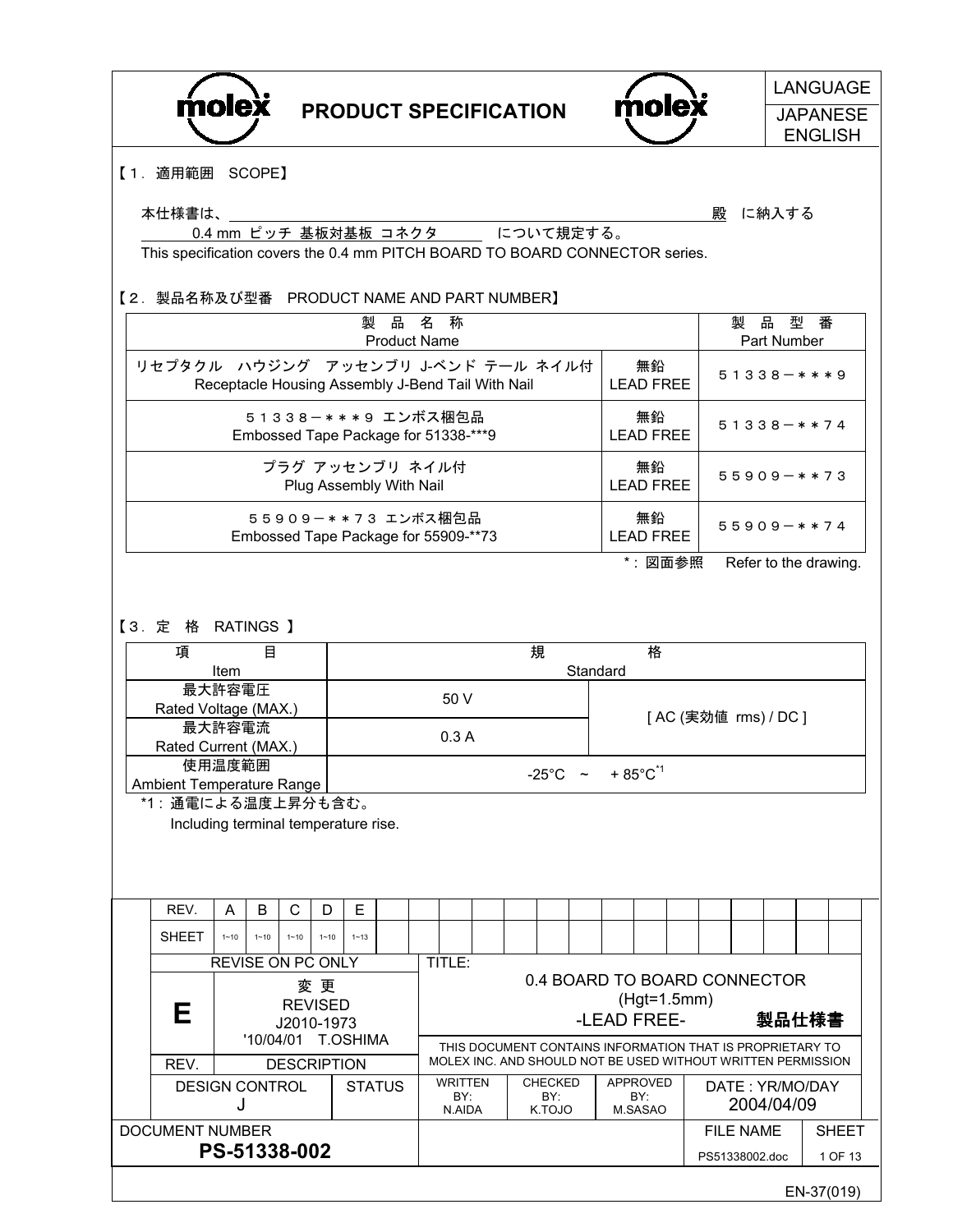|                                             |                                                                             |          |                   |                    |          |                                                                                                                                          |                          |                                                                                                                           |                                                   |  |                                                   |   |  |                              |                         |  |   |                  |             | <b>LANGUAGE</b>                   |
|---------------------------------------------|-----------------------------------------------------------------------------|----------|-------------------|--------------------|----------|------------------------------------------------------------------------------------------------------------------------------------------|--------------------------|---------------------------------------------------------------------------------------------------------------------------|---------------------------------------------------|--|---------------------------------------------------|---|--|------------------------------|-------------------------|--|---|------------------|-------------|-----------------------------------|
|                                             | molex                                                                       |          |                   |                    |          |                                                                                                                                          |                          |                                                                                                                           |                                                   |  | <b>PRODUCT SPECIFICATION</b>                      |   |  |                              | molex                   |  |   |                  |             | <b>JAPANESE</b><br><b>ENGLISH</b> |
|                                             | 【1. 適用範囲 SCOPE】                                                             |          |                   |                    |          |                                                                                                                                          |                          |                                                                                                                           |                                                   |  |                                                   |   |  |                              |                         |  |   |                  |             |                                   |
|                                             | 本仕様書は、                                                                      |          |                   |                    |          |                                                                                                                                          |                          |                                                                                                                           |                                                   |  |                                                   |   |  |                              |                         |  | 殿 |                  | に納入する       |                                   |
|                                             | This specification covers the 0.4 mm PITCH BOARD TO BOARD CONNECTOR series. |          |                   |                    |          |                                                                                                                                          |                          |                                                                                                                           |                                                   |  | 0.4 mm ピッチ 基板対基板 コネクタ について規定する。                   |   |  |                              |                         |  |   |                  |             |                                   |
|                                             | 【2. 製品名称及び型番 PRODUCT NAME AND PART NUMBER】                                  |          |                   |                    |          |                                                                                                                                          |                          |                                                                                                                           |                                                   |  |                                                   |   |  |                              |                         |  |   |                  |             |                                   |
|                                             |                                                                             |          |                   |                    |          | 製                                                                                                                                        | 品<br><b>Product Name</b> | 名                                                                                                                         | 称                                                 |  |                                                   |   |  |                              |                         |  |   | 製品型番             | Part Number |                                   |
|                                             | リセプタクル ハウジング アッセンブリ J-ベンド テール ネイル付                                          |          |                   |                    |          |                                                                                                                                          |                          |                                                                                                                           |                                                   |  | Receptacle Housing Assembly J-Bend Tail With Nail |   |  |                              | 無鉛<br><b>LEAD FREE</b>  |  |   | $51338 - ***9$   |             |                                   |
|                                             | 51338-***9 エンボス梱包品<br>Embossed Tape Package for 51338-***9                  |          |                   |                    |          |                                                                                                                                          |                          |                                                                                                                           |                                                   |  |                                                   |   |  |                              | 無鉛<br><b>LEAD FREE</b>  |  |   | $51338 - * * 74$ |             |                                   |
|                                             | プラグ アッセンブリ ネイル付<br>Plug Assembly With Nail                                  |          |                   |                    |          |                                                                                                                                          |                          |                                                                                                                           |                                                   |  |                                                   |   |  |                              | 無鉛<br><b>I FAD FRFF</b> |  |   | $55909 - * * 73$ |             |                                   |
|                                             | 55909-**73 エンボス梱包品<br>Embossed Tape Package for 55909-**73                  |          |                   |                    |          |                                                                                                                                          |                          |                                                                                                                           |                                                   |  |                                                   |   |  |                              | 無鉛<br><b>LEAD FREE</b>  |  |   | $55909 - * * 74$ |             |                                   |
|                                             | *: 図面参照<br>Refer to the drawing.                                            |          |                   |                    |          |                                                                                                                                          |                          |                                                                                                                           |                                                   |  |                                                   |   |  |                              |                         |  |   |                  |             |                                   |
|                                             | 【3. 定格 RATINGS 】                                                            |          |                   |                    |          |                                                                                                                                          |                          |                                                                                                                           |                                                   |  |                                                   |   |  |                              |                         |  |   |                  |             |                                   |
|                                             | 項                                                                           | Item     | 目                 |                    |          |                                                                                                                                          |                          |                                                                                                                           |                                                   |  |                                                   | 規 |  | Standard                     | 格                       |  |   |                  |             |                                   |
|                                             | Rated Voltage (MAX.)                                                        | 最大許容電圧   |                   |                    |          |                                                                                                                                          |                          |                                                                                                                           | 50 V                                              |  |                                                   |   |  |                              |                         |  |   |                  |             |                                   |
|                                             |                                                                             | 最大許容電流   |                   |                    |          |                                                                                                                                          |                          |                                                                                                                           | [AC (実効値 rms) / DC ]<br>0.3A                      |  |                                                   |   |  |                              |                         |  |   |                  |             |                                   |
|                                             | Rated Current (MAX.)                                                        | 使用温度範囲   |                   |                    |          |                                                                                                                                          |                          |                                                                                                                           | $-25^{\circ}$ C ~ + 85 $^{\circ}$ C <sup>*1</sup> |  |                                                   |   |  |                              |                         |  |   |                  |             |                                   |
|                                             | Ambient Temperature Range<br>*1: 通電による温度上昇分も含む。                             |          |                   |                    |          |                                                                                                                                          |                          |                                                                                                                           |                                                   |  |                                                   |   |  |                              |                         |  |   |                  |             |                                   |
|                                             | Including terminal temperature rise.                                        |          |                   |                    |          |                                                                                                                                          |                          |                                                                                                                           |                                                   |  |                                                   |   |  |                              |                         |  |   |                  |             |                                   |
|                                             | REV.                                                                        | A        | B                 | C                  | D        | Е                                                                                                                                        |                          |                                                                                                                           |                                                   |  |                                                   |   |  |                              |                         |  |   |                  |             |                                   |
|                                             | <b>SHEET</b>                                                                | $1 - 10$ | $1 - 10$          | $1 - 10$           | $1 - 10$ | $1 - 13$                                                                                                                                 |                          |                                                                                                                           |                                                   |  |                                                   |   |  |                              |                         |  |   |                  |             |                                   |
|                                             |                                                                             |          | REVISE ON PC ONLY |                    | 変 更      |                                                                                                                                          |                          |                                                                                                                           | TITLE:                                            |  |                                                   |   |  | 0.4 BOARD TO BOARD CONNECTOR |                         |  |   |                  |             |                                   |
|                                             | <b>REVISED</b><br>Е<br>J2010-1973<br>'10/04/01<br><b>T.OSHIMA</b>           |          |                   |                    |          |                                                                                                                                          |                          |                                                                                                                           | $(Hgt=1.5mm)$<br>-LEAD FREE-<br>製品仕様書             |  |                                                   |   |  |                              |                         |  |   |                  |             |                                   |
|                                             | REV.                                                                        |          |                   | <b>DESCRIPTION</b> |          |                                                                                                                                          |                          | THIS DOCUMENT CONTAINS INFORMATION THAT IS PROPRIETARY TO<br>MOLEX INC. AND SHOULD NOT BE USED WITHOUT WRITTEN PERMISSION |                                                   |  |                                                   |   |  |                              |                         |  |   |                  |             |                                   |
| <b>DESIGN CONTROL</b><br><b>STATUS</b><br>J |                                                                             |          |                   |                    |          | <b>WRITTEN</b><br><b>CHECKED</b><br><b>APPROVED</b><br>DATE: YR/MO/DAY<br>BY:<br>BY:<br>BY:<br>2004/04/09<br>N.AIDA<br>K.TOJO<br>M.SASAO |                          |                                                                                                                           |                                                   |  |                                                   |   |  |                              |                         |  |   |                  |             |                                   |
|                                             | DOCUMENT NUMBER                                                             |          |                   |                    |          |                                                                                                                                          |                          |                                                                                                                           |                                                   |  |                                                   |   |  |                              |                         |  |   | <b>FILE NAME</b> |             | <b>SHEET</b>                      |
|                                             |                                                                             |          | PS-51338-002      |                    |          |                                                                                                                                          |                          |                                                                                                                           |                                                   |  |                                                   |   |  |                              |                         |  |   | PS51338002.doc   |             | 1 OF 13                           |
|                                             |                                                                             |          |                   |                    |          |                                                                                                                                          |                          |                                                                                                                           |                                                   |  |                                                   |   |  |                              |                         |  |   |                  |             | EN-37(019)                        |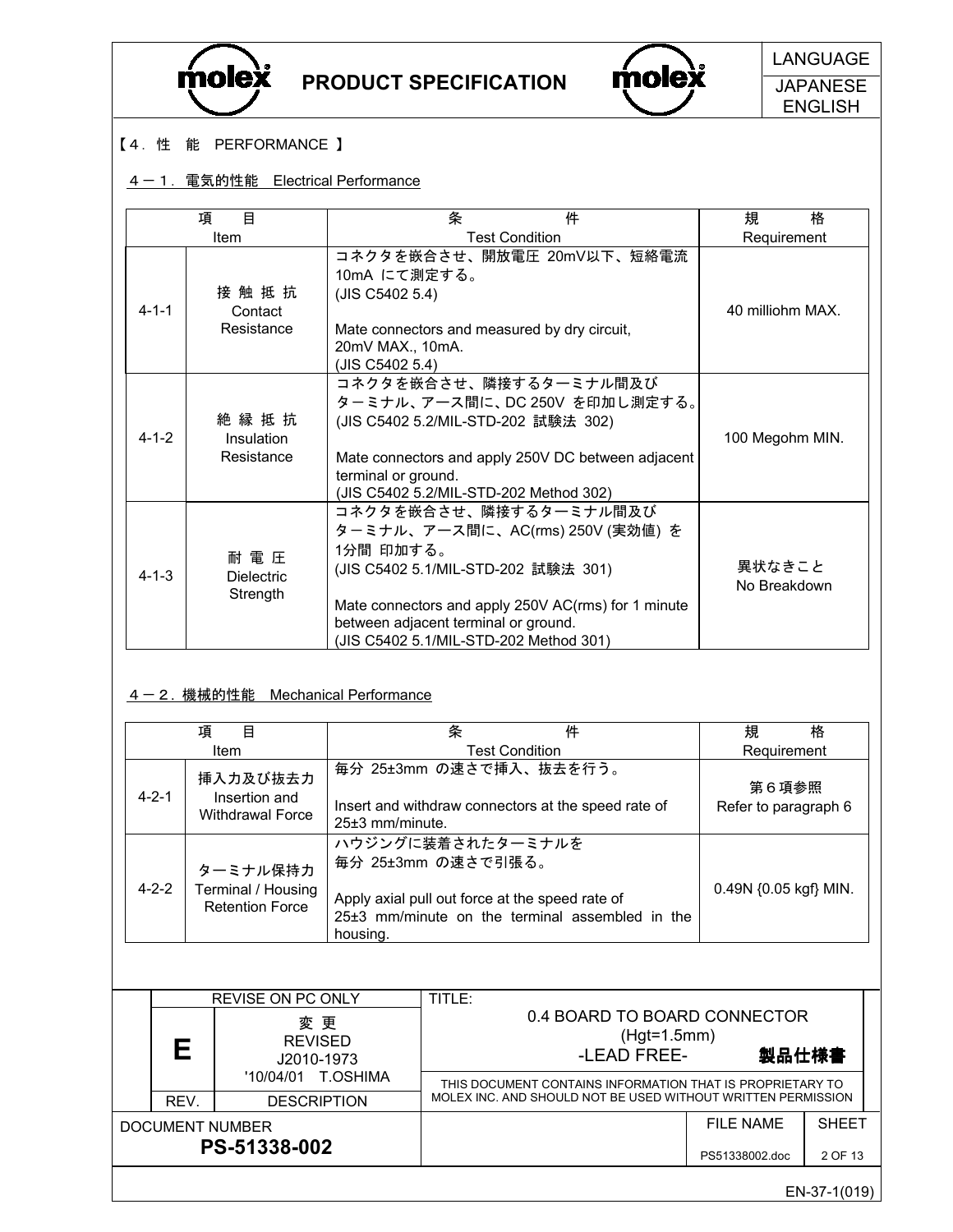



**Molex** LANGUAGE **JAPANESE** ENGLISH

### 【4.性 能 PERFORMANCE 】

## 1-1. 電気的性能 Electrical Performance

|             | 目<br>項                                 | 件<br>条                                                                                                                                                                                                                                                  | 規<br>格                 |
|-------------|----------------------------------------|---------------------------------------------------------------------------------------------------------------------------------------------------------------------------------------------------------------------------------------------------------|------------------------|
|             | Item                                   | <b>Test Condition</b>                                                                                                                                                                                                                                   | Requirement            |
| $4 - 1 - 1$ | 接触抵抗<br>Contact<br>Resistance          | コネクタを嵌合させ、開放電圧 20mV以下、短絡電流<br>10mA にて測定する。<br>(JIS C5402 5.4)<br>Mate connectors and measured by dry circuit,<br>20mV MAX., 10mA.<br>(JIS C5402 5.4)                                                                                                    | 40 milliohm MAX.       |
| $4 - 1 - 2$ | 絶縁抵抗<br>Insulation<br>Resistance       | コネクタを嵌合させ、隣接するターミナル間及び<br>ターミナル、アース間に、DC 250V を印加し測定する。<br>(JIS C5402 5.2/MIL-STD-202 試験法 302)<br>Mate connectors and apply 250V DC between adjacent<br>terminal or ground.<br>(JIS C5402 5.2/MIL-STD-202 Method 302)                                   | 100 Megohm MIN.        |
| $4 - 1 - 3$ | 耐 電 圧<br><b>Dielectric</b><br>Strength | コネクタを嵌合させ、隣接するターミナル間及び<br>ターミナル、アース間に、AC(rms) 250V (実効値) を<br>1分間 印加する。<br>(JIS C5402 5.1/MIL-STD-202 試験法 301)<br>Mate connectors and apply 250V AC(rms) for 1 minute<br>between adjacent terminal or ground.<br>(JIS C5402 5.1/MIL-STD-202 Method 301) | 異状なきこと<br>No Breakdown |

#### 4-2. 機械的性能 Mechanical Performance

|             | 項<br>目                                                   | 条<br>件                                                                                                                                                      | 規<br>格                        |
|-------------|----------------------------------------------------------|-------------------------------------------------------------------------------------------------------------------------------------------------------------|-------------------------------|
|             | Item                                                     | <b>Test Condition</b>                                                                                                                                       | Requirement                   |
| $4 - 2 - 1$ | 挿入力及び抜去力<br>Insertion and<br>Withdrawal Force            | 毎分 25±3mm の速さで挿入、抜去を行う。<br>Insert and withdraw connectors at the speed rate of<br>$25\pm3$ mm/minute.                                                       | 第6項参照<br>Refer to paragraph 6 |
| $4 - 2 - 2$ | ターミナル保持力<br>Terminal / Housing<br><b>Retention Force</b> | ハウジングに装着されたターミナルを<br>毎分 25±3mm の速さで引張る。<br>Apply axial pull out force at the speed rate of<br>$25±3$ mm/minute on the terminal assembled in the<br>housing. | 0.49N {0.05 kgf} MIN.         |

|                                 |      | REVISE ON PC ONLY                                           | TITLE:                                                                                                                  |                              |                         |  |
|---------------------------------|------|-------------------------------------------------------------|-------------------------------------------------------------------------------------------------------------------------|------------------------------|-------------------------|--|
|                                 |      | 変更<br><b>REVISED</b><br>J2010-1973<br>T.OSHIMA<br>'10/04/01 | 0.4 BOARD TO BOARD CONNECTOR<br>(Hgt=1.5mm)<br>-LEAD FREE-<br>THIS DOCUMENT CONTAINS INFORMATION THAT IS PROPRIETARY TO | 製品仕様書                        |                         |  |
|                                 | REV. | <b>DESCRIPTION</b>                                          | MOLEX INC. AND SHOULD NOT BE USED WITHOUT WRITTEN PERMISSION                                                            |                              |                         |  |
| DOCUMENT NUMBER<br>PS-51338-002 |      |                                                             |                                                                                                                         | FII F NAME<br>PS51338002.doc | <b>SHEFT</b><br>2 OF 13 |  |
|                                 |      |                                                             |                                                                                                                         |                              |                         |  |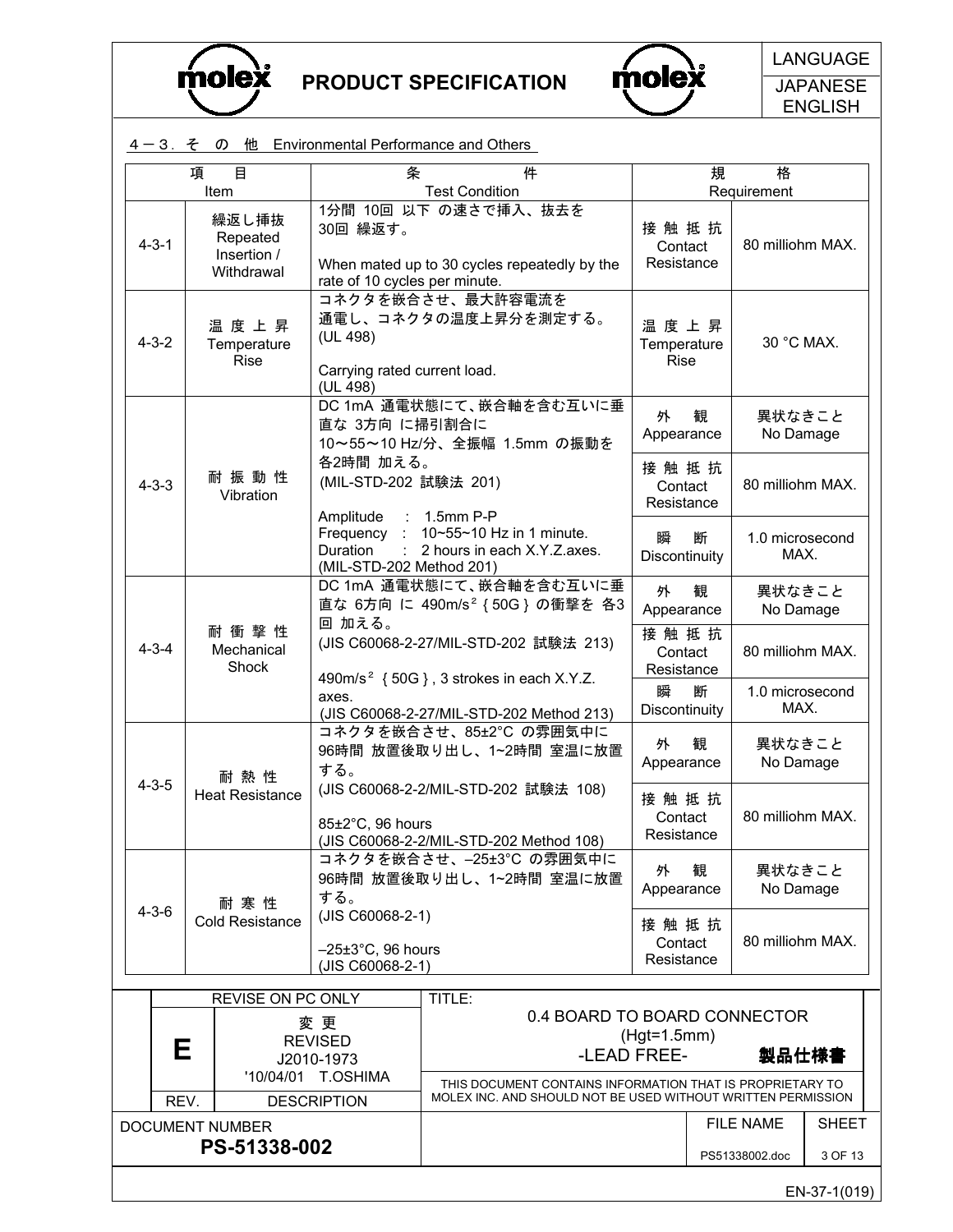



**JAPANESE** ENGLISH

|  |                                                           |                                                |                                                                                                                      | 4-3. そ の 他 Environmental Performance and Others                                 |                                                       |                    |                         |         |
|--|-----------------------------------------------------------|------------------------------------------------|----------------------------------------------------------------------------------------------------------------------|---------------------------------------------------------------------------------|-------------------------------------------------------|--------------------|-------------------------|---------|
|  | 項                                                         | 目<br>Item                                      | 条                                                                                                                    | 件<br><b>Test Condition</b>                                                      |                                                       | 規                  | 格<br>Requirement        |         |
|  | $4 - 3 - 1$                                               | 繰返し挿抜<br>Repeated<br>Insertion /<br>Withdrawal | 30回 繰返す。<br>rate of 10 cycles per minute.                                                                            | 1分間 10回 以下 の速さで挿入、抜去を<br>When mated up to 30 cycles repeatedly by the           | 接触抵抗<br>Contact<br>Resistance                         |                    | 80 milliohm MAX.        |         |
|  | $4 - 3 - 2$                                               | 温度上昇<br>Temperature<br><b>Rise</b>             | (UL 498)<br>Carrying rated current load.<br>(UL 498)                                                                 | コネクタを嵌合させ、最大許容電流を<br>通電し、コネクタの温度上昇分を測定する。                                       | 温度上昇<br>Temperature<br><b>Rise</b>                    |                    | 30 °C MAX.              |         |
|  |                                                           |                                                |                                                                                                                      | DC 1mA 通電状態にて、嵌合軸を含む互いに垂<br>直な 3方向 に掃引割合に<br>10~55~10 Hz/分、全振幅 1.5mm の振動を       |                                                       |                    | 異状なきこと<br>No Damage     |         |
|  | 耐振動性<br>$4 - 3 - 3$<br>Vibration<br>Amplitude<br>Duration |                                                | 各2時間 加える。<br>(MIL-STD-202 試験法 201)                                                                                   |                                                                                 | 接触抵抗<br>Contact<br>Resistance                         |                    | 80 milliohm MAX.        |         |
|  |                                                           |                                                | $: 1.5$ mm P-P<br>Frequency :<br>10~55~10 Hz in 1 minute.<br>2 hours in each X.Y.Z.axes.<br>(MIL-STD-202 Method 201) |                                                                                 | 断<br>瞬<br>Discontinuity                               |                    | 1.0 microsecond<br>MAX. |         |
|  |                                                           |                                                | DC 1mA 通電状態にて、嵌合軸を含む互いに垂<br>直な 6方向 に 490m/s <sup>2</sup> {50G} の衝撃を 各3                                               |                                                                                 | 外<br>観<br>Appearance                                  |                    | 異状なきこと<br>No Damage     |         |
|  | $4 - 3 - 4$                                               | 耐衝撃性<br>Mechanical<br>Shock                    | 回 加える。                                                                                                               | (JIS C60068-2-27/MIL-STD-202 試験法 213)                                           | 接触抵抗<br>Contact<br>Resistance                         |                    | 80 milliohm MAX.        |         |
|  |                                                           |                                                | 490m/s <sup>2</sup> {50G}, 3 strokes in each X.Y.Z.<br>axes.<br>(JIS C60068-2-27/MIL-STD-202 Method 213)             |                                                                                 |                                                       | 断<br>Discontinuity | 1.0 microsecond<br>MAX. |         |
|  |                                                           | 耐熱性                                            | する。                                                                                                                  | コネクタを嵌合させ、85±2°C の雰囲気中に<br>96時間 放置後取り出し、1~2時間 室温に放置                             | 観<br>外<br>Appearance<br>接触抵抗<br>Contact<br>Resistance |                    | 異状なきこと<br>No Damage     |         |
|  | $4 - 3 - 5$                                               | <b>Heat Resistance</b>                         | $85\pm2\degree$ C. 96 hours                                                                                          | (JIS C60068-2-2/MIL-STD-202 試験法 108)<br>(JIS C60068-2-2/MIL-STD-202 Method 108) |                                                       |                    | 80 milliohm MAX.        |         |
|  |                                                           | 耐寒性                                            | する。                                                                                                                  | コネクタを嵌合させ、-25±3°C の雰囲気中に<br>96時間 放置後取り出し、1~2時間 室温に放置                            | 外<br>Appearance                                       | 観                  | 異状なきこと<br>No Damage     |         |
|  | $4 - 3 - 6$                                               | <b>Cold Resistance</b>                         | (JIS C60068-2-1)<br>$-25\pm3$ °C, 96 hours<br>(JIS C60068-2-1)                                                       |                                                                                 | 接触抵抗<br>Contact<br>Resistance                         |                    | 80 milliohm MAX.        |         |
|  |                                                           | <b>REVISE ON PC ONLY</b>                       |                                                                                                                      | TITLE:                                                                          |                                                       |                    |                         |         |
|  | 変 更<br><b>REVISED</b><br>Е<br>J2010-1973                  |                                                | 0.4 BOARD TO BOARD CONNECTOR<br>-LEAD FREE-                                                                          | $(Hgt=1.5mm)$                                                                   |                                                       | 製品仕様書              |                         |         |
|  | '10/04/01<br><b>T.OSHIMA</b>                              |                                                | THIS DOCUMENT CONTAINS INFORMATION THAT IS PROPRIETARY TO                                                            |                                                                                 |                                                       |                    |                         |         |
|  | REV.<br><b>DESCRIPTION</b>                                |                                                |                                                                                                                      | MOLEX INC. AND SHOULD NOT BE USED WITHOUT WRITTEN PERMISSION                    |                                                       |                    | <b>FILE NAME</b>        | SHEET   |
|  | <b>DOCUMENT NUMBER</b><br>PS-51338-002                    |                                                |                                                                                                                      |                                                                                 |                                                       |                    | PS51338002.doc          | 3 OF 13 |
|  |                                                           |                                                |                                                                                                                      |                                                                                 |                                                       |                    |                         |         |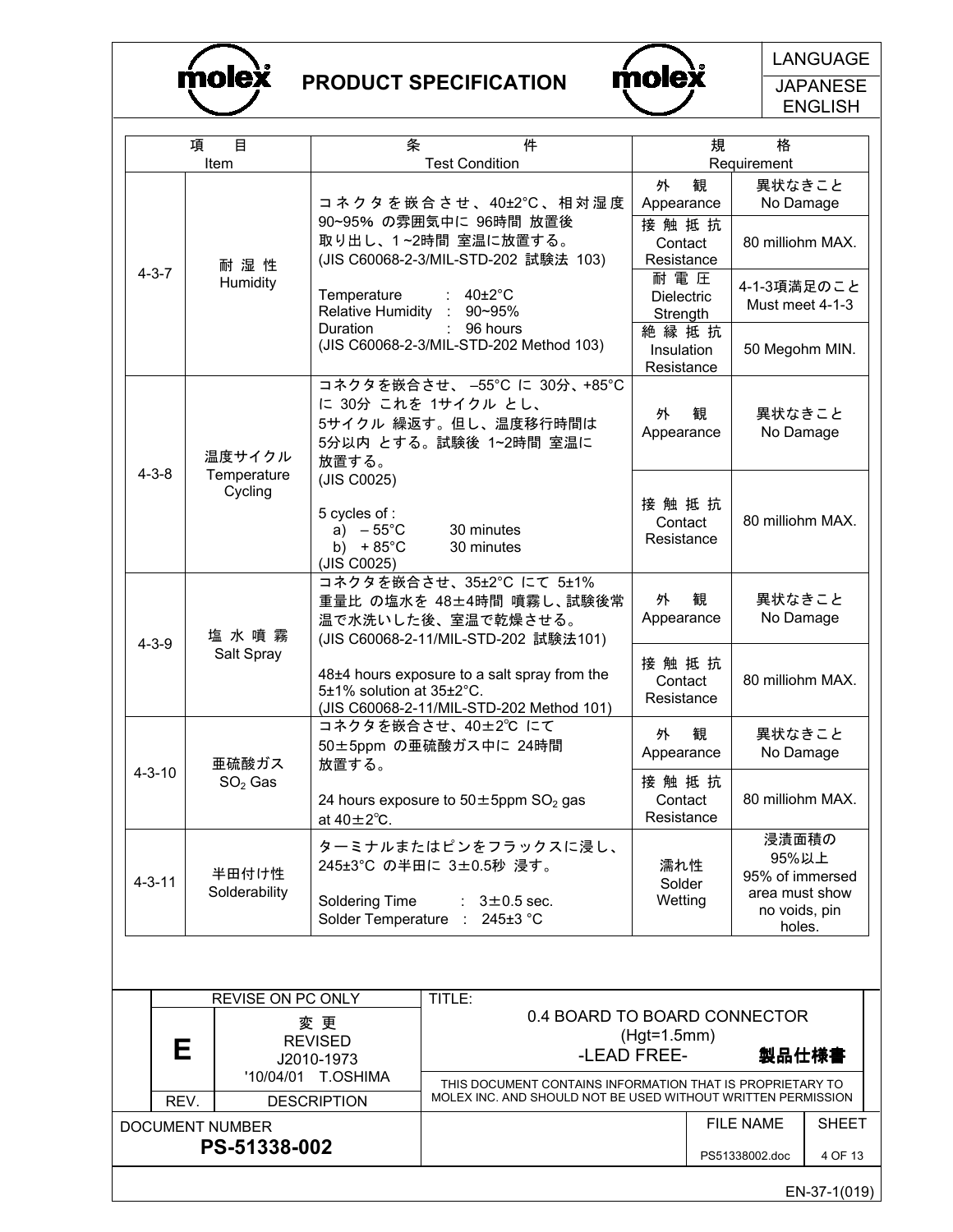



**JAPANESE** ENGLISH

|                                                 | 項                                                        | 目<br>Item  | 条                                                                                                                         | 件<br><b>Test Condition</b>                                                                         | 規                                                                              | 格<br>Requirement               |              |
|-------------------------------------------------|----------------------------------------------------------|------------|---------------------------------------------------------------------------------------------------------------------------|----------------------------------------------------------------------------------------------------|--------------------------------------------------------------------------------|--------------------------------|--------------|
|                                                 |                                                          |            |                                                                                                                           | コ ネ ク タ を 嵌 合 さ せ 、 40±2℃ 、 相 対 湿 度                                                                | 観<br>外<br>Appearance                                                           | 異状なきこと<br>No Damage            |              |
|                                                 |                                                          | 耐湿性        |                                                                                                                           | 90~95% の雰囲気中に 96時間 放置後<br>取り出し、1~2時間 室温に放置する。<br>(JIS C60068-2-3/MIL-STD-202 試験法 103)              | 接触抵抗<br>Contact<br>Resistance                                                  | 80 milliohm MAX.               |              |
|                                                 | $4 - 3 - 7$                                              | Humidity   | Temperature<br>Relative Humidity                                                                                          | $40\pm2\degree$ C<br>90~95%                                                                        | 耐電圧<br><b>Dielectric</b><br>Strength                                           | 4-1-3項満足のこと<br>Must meet 4-1-3 |              |
|                                                 |                                                          |            | Duration                                                                                                                  | 96 hours<br>(JIS C60068-2-3/MIL-STD-202 Method 103)                                                | 絶縁抵抗<br>Insulation<br>Resistance                                               | 50 Megohm MIN.                 |              |
| 温度サイクル<br>$4 - 3 - 8$<br>Temperature<br>Cycling |                                                          |            | 放置する。<br>(JIS C0025)                                                                                                      | コネクタを嵌合させ、-55℃ に 30分、+85℃<br>に 30分 これを 1サイクル とし、<br>5サイクル 繰返す。但し、温度移行時間は<br>5分以内 とする。試験後 1~2時間 室温に | 観<br>外<br>Appearance                                                           | 異状なきこと<br>No Damage            |              |
|                                                 |                                                          |            | 5 cycles of :<br>a) $-55^{\circ}$ C<br>b) $+85^{\circ}$ C<br>(JIS C0025)                                                  | 30 minutes<br>30 minutes                                                                           | 接触抵抗<br>Contact<br>Resistance                                                  | 80 milliohm MAX.               |              |
|                                                 | $4 - 3 - 9$                                              | 塩水噴霧       | コネクタを嵌合させ、35±2°C にて 5±1%<br>重量比 の塩水を 48±4時間 噴霧し、試験後常<br>温で水洗いした後、室温で乾燥させる。<br>(JIS C60068-2-11/MIL-STD-202 試験法101)        |                                                                                                    | 外<br>観<br>Appearance                                                           | 異状なきこと<br>No Damage            |              |
|                                                 |                                                          | Salt Spray | 5±1% solution at 35±2°C.                                                                                                  | 48±4 hours exposure to a salt spray from the<br>(JIS C60068-2-11/MIL-STD-202 Method 101)           | 接触抵抗<br>Contact<br>Resistance                                                  | 80 milliohm MAX.               |              |
|                                                 |                                                          | 亜硫酸ガス      | 放置する。                                                                                                                     | コネクタを嵌合させ、40±2℃ にて<br>50±5ppm の亜硫酸ガス中に 24時間                                                        | 外<br>観<br>Appearance                                                           | 異状なきこと<br>No Damage            |              |
|                                                 | $4 - 3 - 10$                                             | $SO2$ Gas  | at $40 \pm 2^{\circ}$ C.                                                                                                  | 24 hours exposure to $50 \pm 5$ ppm SO <sub>2</sub> gas                                            | 接触抵抗<br>Contact<br>Resistance                                                  | 80 milliohm MAX.               |              |
|                                                 | 半田付け性<br>$4 - 3 - 11$<br>Solderability<br>Soldering Time |            | ターミナルまたはピンをフラックスに浸し、<br>245±3°C の半田に 3±0.5秒 浸す。<br>$: 3\pm0.5$ sec.<br>Solder Temperature : 245±3 °C                      | 濡れ性<br>Solder<br>Wetting                                                                           | 浸漬面積の<br>95%以上<br>95% of immersed<br>area must show<br>no voids, pin<br>holes. |                                |              |
|                                                 |                                                          |            |                                                                                                                           |                                                                                                    |                                                                                |                                |              |
|                                                 | REVISE ON PC ONLY<br>変 更                                 |            | TITLE:<br>0.4 BOARD TO BOARD CONNECTOR                                                                                    |                                                                                                    |                                                                                |                                |              |
|                                                 | <b>REVISED</b><br>Е<br>J2010-1973                        |            |                                                                                                                           | $(Hgt=1.5mm)$<br>-LEAD FREE-                                                                       | 製品仕様書                                                                          |                                |              |
|                                                 | '10/04/01 T.OSHIMA<br>REV.<br><b>DESCRIPTION</b>         |            | THIS DOCUMENT CONTAINS INFORMATION THAT IS PROPRIETARY TO<br>MOLEX INC. AND SHOULD NOT BE USED WITHOUT WRITTEN PERMISSION |                                                                                                    |                                                                                |                                |              |
|                                                 | DOCUMENT NUMBER<br>PS-51338-002                          |            |                                                                                                                           |                                                                                                    |                                                                                | <b>FILE NAME</b>               | <b>SHEET</b> |
|                                                 |                                                          |            |                                                                                                                           |                                                                                                    |                                                                                | PS51338002.doc                 | 4 OF 13      |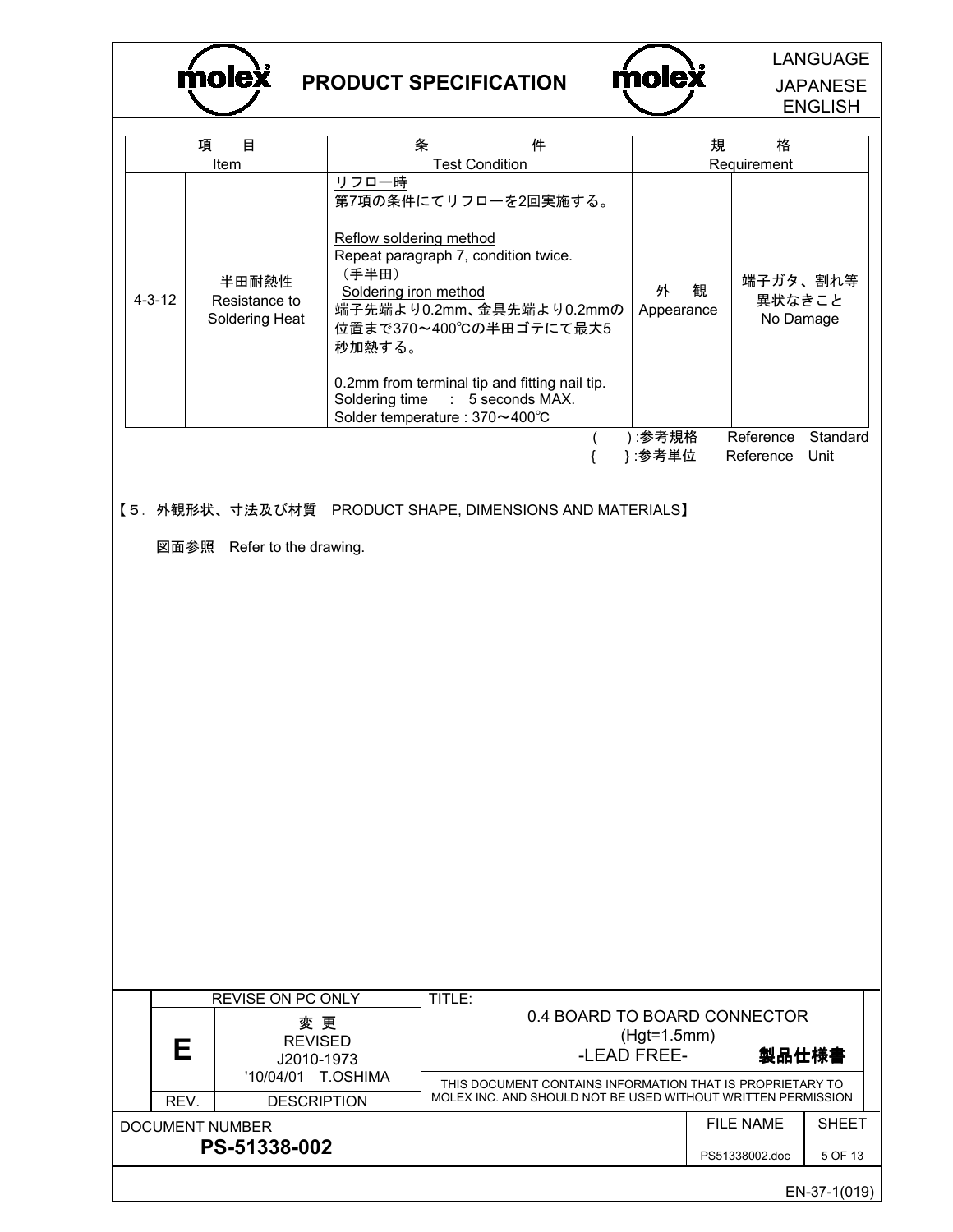molex

# PRODUCT SPECIFICATION



**JAPANESE** ENGLISH

|              |                                                                                        |                                                                                                                                                                          |                       |                                                                                                                                                 |                              |   |                                    | ᄂᄓ៴ᇰᄂ៲៴៲៲               |
|--------------|----------------------------------------------------------------------------------------|--------------------------------------------------------------------------------------------------------------------------------------------------------------------------|-----------------------|-------------------------------------------------------------------------------------------------------------------------------------------------|------------------------------|---|------------------------------------|-------------------------|
|              | 目<br>項<br>Item                                                                         | 条                                                                                                                                                                        | <b>Test Condition</b> | 件                                                                                                                                               |                              | 規 | 格<br>Requirement                   |                         |
| $4 - 3 - 12$ | 半田耐熱性<br>Resistance to<br>Soldering Heat                                               | リフロー時<br>Reflow soldering method<br>Repeat paragraph 7, condition twice.<br>(手半田)<br>Soldering iron method<br>秒加熱する。<br>Soldering time<br>Solder temperature : 370~400°C |                       | 第7項の条件にてリフローを2回実施する。<br>端子先端より0.2mm、金具先端より0.2mmの<br>位置まで370~400℃の半田ゴテにて最大5<br>0.2mm from terminal tip and fitting nail tip.<br>: 5 seconds MAX. | 外<br>Appearance              | 観 | 端子ガタ、割れ等<br>異状なきこと<br>No Damage    |                         |
|              |                                                                                        |                                                                                                                                                                          |                       |                                                                                                                                                 | ):参考規格                       |   | Reference                          | Standard                |
|              |                                                                                        |                                                                                                                                                                          |                       | ſ                                                                                                                                               | }:参考単位                       |   | Reference                          | Unit                    |
|              | 【5. 外観形状、寸法及び材質 PRODUCT SHAPE, DIMENSIONS AND MATERIALS】<br>図面参照 Refer to the drawing. |                                                                                                                                                                          |                       |                                                                                                                                                 |                              |   |                                    |                         |
|              |                                                                                        |                                                                                                                                                                          |                       |                                                                                                                                                 |                              |   |                                    |                         |
|              | <b>REVISE ON PC ONLY</b>                                                               |                                                                                                                                                                          | TITLE:                |                                                                                                                                                 |                              |   |                                    |                         |
| Е            | 変 更<br><b>REVISED</b><br>J2010-1973<br>'10/04/01                                       | T.OSHIMA                                                                                                                                                                 |                       | 0.4 BOARD TO BOARD CONNECTOR<br>THIS DOCUMENT CONTAINS INFORMATION THAT IS PROPRIETARY TO                                                       | $(Hgt=1.5mm)$<br>-LEAD FREE- |   | 製品仕様書                              |                         |
| REV.         | <b>DESCRIPTION</b>                                                                     |                                                                                                                                                                          |                       | MOLEX INC. AND SHOULD NOT BE USED WITHOUT WRITTEN PERMISSION                                                                                    |                              |   |                                    |                         |
|              | DOCUMENT NUMBER<br>PS-51338-002                                                        |                                                                                                                                                                          |                       |                                                                                                                                                 |                              |   | <b>FILE NAME</b><br>PS51338002.doc | <b>SHEET</b><br>5 OF 13 |
|              |                                                                                        |                                                                                                                                                                          |                       |                                                                                                                                                 |                              |   |                                    |                         |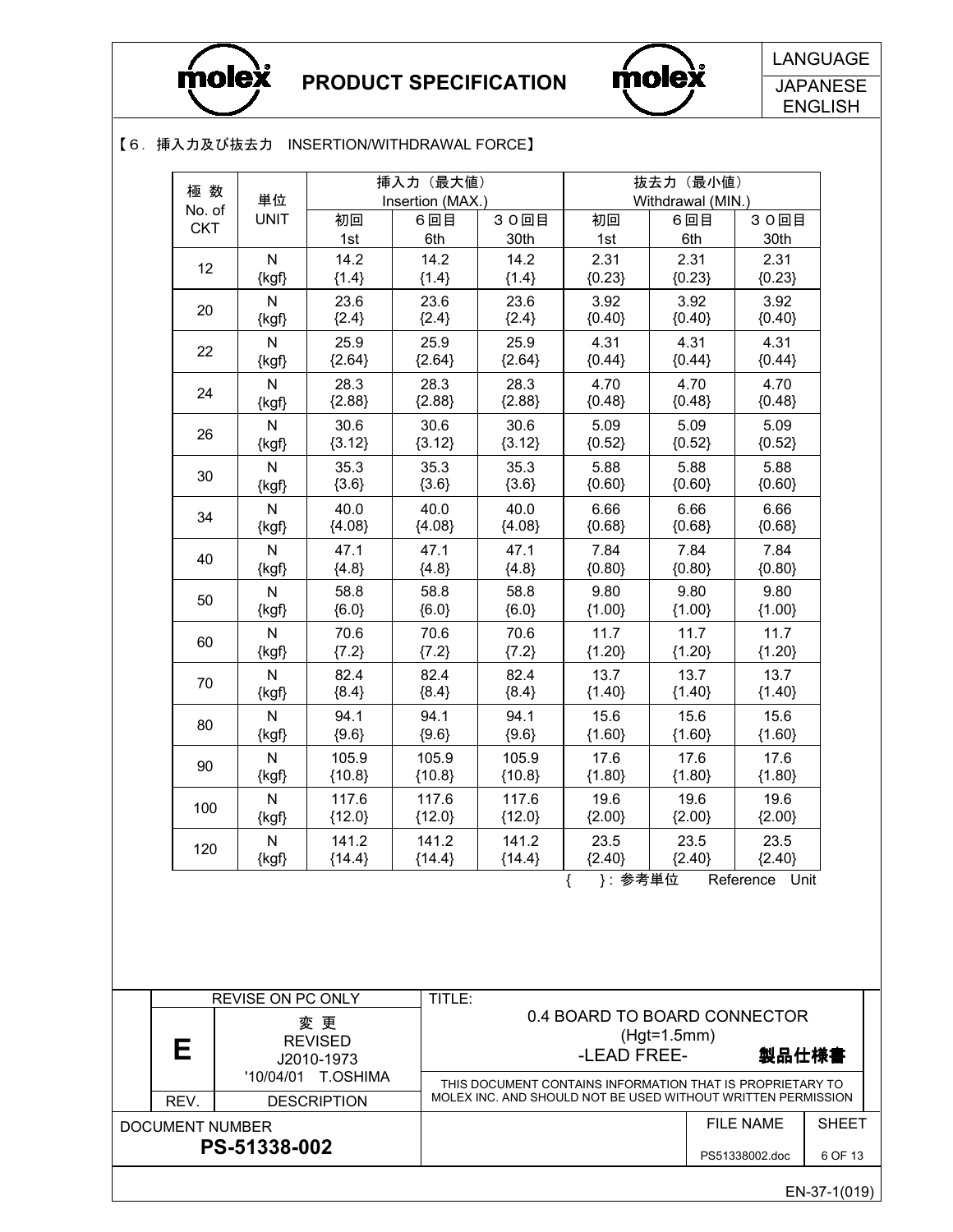



**JAPANESE** ENGLISH

#### 【6.挿入力及び抜去力 INSERTION/WITHDRAWAL FORCE】

| 極数                     | 単位                                   |                                  | 挿入力 (最大値)<br>Insertion (MAX.) |                   |                                                                                                                           |               | 抜去力 (最小値)<br>Withdrawal (MIN.) |                  |              |
|------------------------|--------------------------------------|----------------------------------|-------------------------------|-------------------|---------------------------------------------------------------------------------------------------------------------------|---------------|--------------------------------|------------------|--------------|
| No. of<br><b>CKT</b>   | <b>UNIT</b>                          | 初回<br>1st                        | 6回目<br>6th                    | 30回目<br>30th      | 初回<br>1st                                                                                                                 |               | 6回目<br>6th                     | 30回目<br>30th     |              |
| 12                     | ${\sf N}$<br>$\{kgf\}$               | 14.2<br>${1.4}$                  | 14.2<br>${1.4}$               | 14.2<br>${1.4}$   | 2.31<br>${0.23}$                                                                                                          |               | 2.31<br>${0.23}$               | 2.31<br>${0.23}$ |              |
| 20                     | ${\sf N}$<br>{kgf}                   | 23.6<br>${2.4}$                  | 23.6<br>${2.4}$               | 23.6<br>${2.4}$   | 3.92<br>${0.40}$                                                                                                          |               | 3.92<br>${0.40}$               | 3.92<br>${0.40}$ |              |
| 22                     | ${\sf N}$<br>$\{kgf\}$               | 25.9<br>${2.64}$                 | 25.9<br>${2.64}$              | 25.9<br>${2.64}$  | 4.31<br>${0.44}$                                                                                                          |               | 4.31<br>${0.44}$               | 4.31<br>${0.44}$ |              |
| 24                     | $\mathsf{N}$<br>{kgf}                | 28.3<br>${2.88}$                 | 28.3<br>${2.88}$              | 28.3<br>${2.88}$  | 4.70<br>${0.48}$                                                                                                          |               | 4.70<br>${0.48}$               | 4.70<br>${0.48}$ |              |
| 26                     | $\mathsf{N}$<br>{kgf}                | 30.6<br>${3.12}$                 | 30.6<br>${3.12}$              | 30.6<br>${3.12}$  | 5.09<br>${0.52}$                                                                                                          |               | 5.09<br>${0.52}$               | 5.09<br>${0.52}$ |              |
| 30                     | $\overline{\mathsf{N}}$<br>{kgf}     | 35.3<br>${3.6}$                  | 35.3<br>${3.6}$               | 35.3<br>${3.6}$   | 5.88<br>${0.60}$                                                                                                          |               | 5.88<br>${0.60}$               | 5.88<br>${0.60}$ |              |
| 34                     | ${\sf N}$<br>{kgf}                   | 40.0<br>${4.08}$                 | 40.0<br>${4.08}$              | 40.0<br>${4.08}$  | 6.66<br>${0.68}$                                                                                                          |               | 6.66<br>${0.68}$               | 6.66<br>${0.68}$ |              |
| 40                     | $\mathsf{N}$<br>{kgf}                | 47.1<br>${4.8}$                  | 47.1<br>${4.8}$               | 47.1<br>${4.8}$   | 7.84<br>${0.80}$                                                                                                          |               | 7.84<br>${0.80}$               | 7.84<br>${0.80}$ |              |
| 50                     | $\overline{\mathsf{N}}$<br>{kgf}     | 58.8<br>${6.0}$                  | 58.8<br>${6.0}$               | 58.8<br>${6.0}$   | 9.80<br>${1.00}$                                                                                                          |               | 9.80<br>${1.00}$               | 9.80<br>${1.00}$ |              |
| 60                     | $\mathsf{N}$<br>$\{kgf\}$            | 70.6<br>${7.2}$                  | 70.6<br>${7.2}$               | 70.6<br>${7.2}$   | 11.7<br>${1.20}$                                                                                                          |               | 11.7<br>${1.20}$               | 11.7<br>${1.20}$ |              |
| 70                     | ${\sf N}$<br>{kgf}                   | 82.4<br>${8.4}$                  | 82.4<br>${8.4}$               | 82.4<br>${8.4}$   | 13.7<br>${1.40}$                                                                                                          |               | 13.7<br>${1.40}$               | 13.7<br>${1.40}$ |              |
| 80                     | N<br>{kgf}                           | 94.1<br>${9.6}$                  | 94.1<br>${9.6}$               | 94.1<br>${9.6}$   | 15.6<br>${1.60}$                                                                                                          |               | 15.6<br>${1.60}$               | 15.6<br>${1.60}$ |              |
| 90                     | $\mathsf{N}$<br>{kgf}                | 105.9<br>${10.8}$                | 105.9<br>${10.8}$             | 105.9<br>${10.8}$ | 17.6<br>${1.80}$                                                                                                          |               | 17.6<br>${1.80}$               | 17.6<br>${1.80}$ |              |
| 100                    | ${\sf N}$<br>$\{kgf\}$               | 117.6<br>${12.0}$                | 117.6<br>${12.0}$             | 117.6<br>${12.0}$ | 19.6<br>${2.00}$                                                                                                          |               | 19.6<br>${2.00}$               | 19.6<br>${2.00}$ |              |
| 120                    | $\overline{\mathsf{N}}$<br>$\{kgf\}$ | 141.2<br>${14.4}$                | 141.2<br>${14.4}$             | 141.2<br>${14.4}$ | 23.5<br><u>{2.40}   {2</u><br>}:参考単位                                                                                      | ${2.40}$      | 23.5                           | 23.5<br>${2.40}$ |              |
|                        |                                      |                                  |                               |                   |                                                                                                                           |               |                                | Reference Unit   |              |
|                        |                                      |                                  |                               |                   |                                                                                                                           |               |                                |                  |              |
|                        | REVISE ON PC ONLY                    |                                  | TITLE:                        |                   |                                                                                                                           |               |                                |                  |              |
|                        |                                      | 変 更<br><b>REVISED</b>            |                               |                   | 0.4 BOARD TO BOARD CONNECTOR                                                                                              | $(Hgt=1.5mm)$ |                                |                  |              |
| Е                      |                                      | J2010-1973<br>'10/04/01 T.OSHIMA |                               |                   | -LEAD FREE-                                                                                                               |               |                                | 製品仕様書            |              |
| REV.                   |                                      | <b>DESCRIPTION</b>               |                               |                   | THIS DOCUMENT CONTAINS INFORMATION THAT IS PROPRIETARY TO<br>MOLEX INC. AND SHOULD NOT BE USED WITHOUT WRITTEN PERMISSION |               |                                |                  |              |
| <b>DOCUMENT NUMBER</b> | PS-51338-002                         |                                  |                               |                   |                                                                                                                           |               |                                | <b>FILE NAME</b> | <b>SHEET</b> |
|                        |                                      |                                  |                               |                   |                                                                                                                           |               |                                | PS51338002.doc   | 6 OF 13      |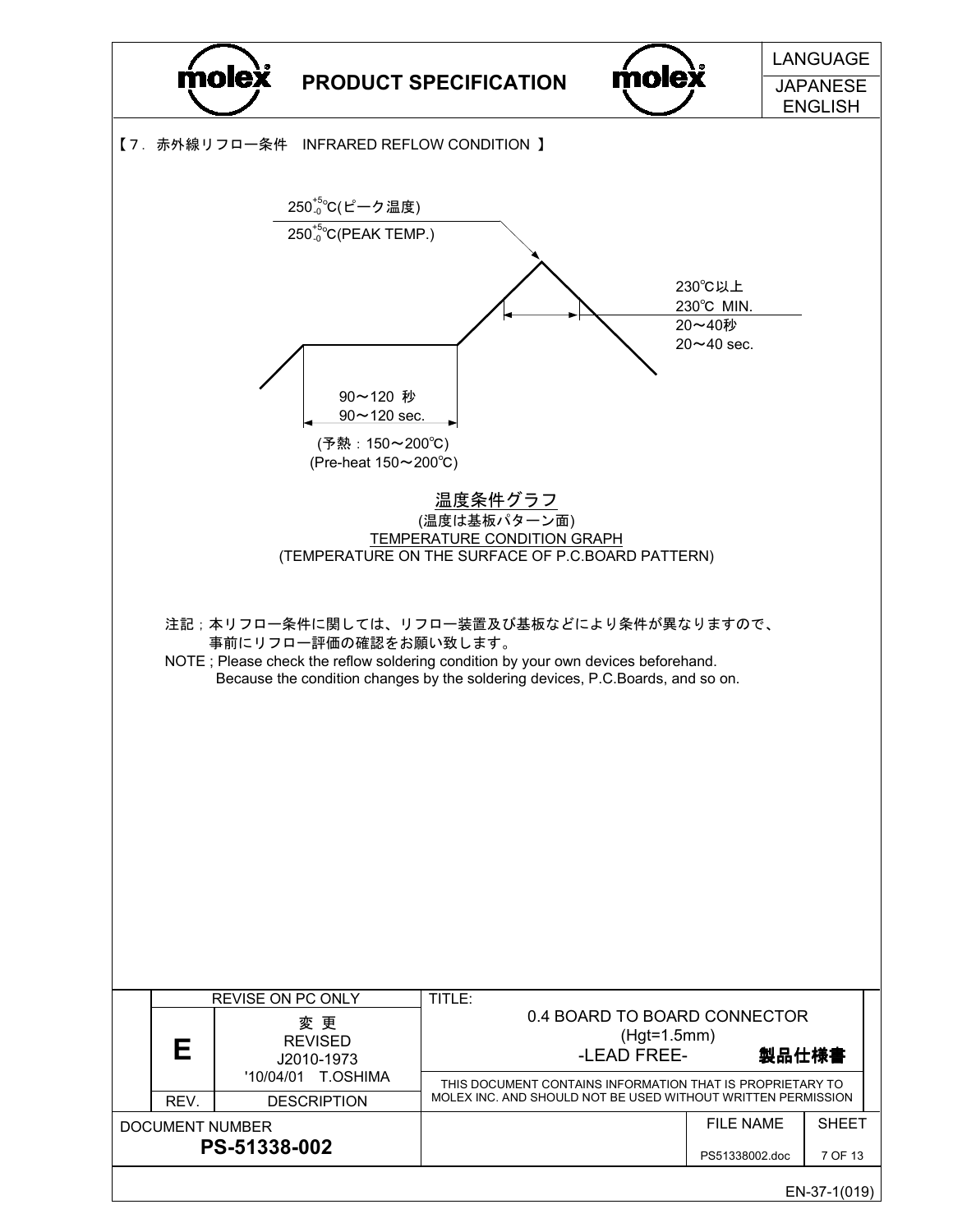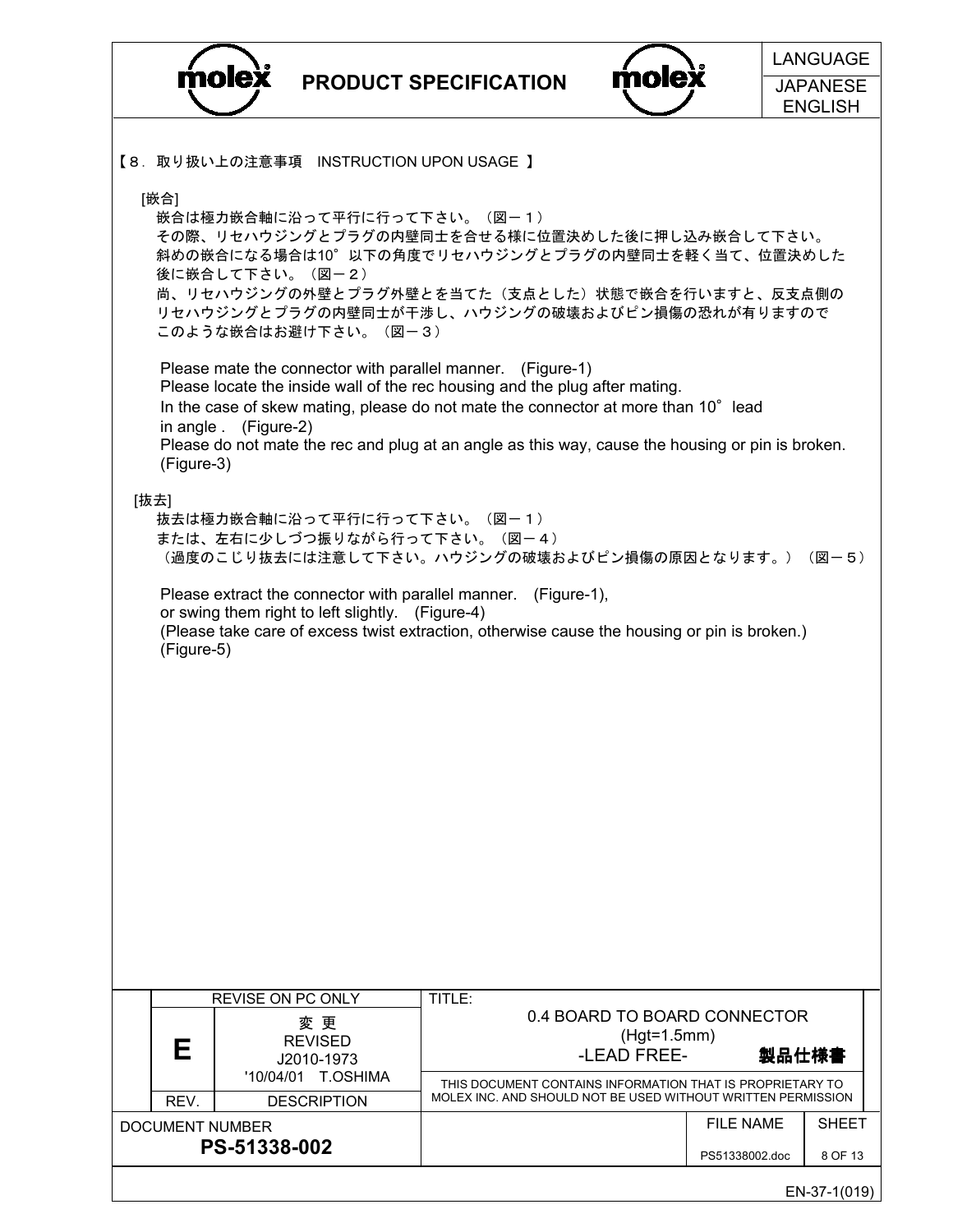|                                |                                                |                                                                         |                                                                                                                                                                                                                                                                                                                                     |                                                              |                  | <b>LANGUAGE</b> |
|--------------------------------|------------------------------------------------|-------------------------------------------------------------------------|-------------------------------------------------------------------------------------------------------------------------------------------------------------------------------------------------------------------------------------------------------------------------------------------------------------------------------------|--------------------------------------------------------------|------------------|-----------------|
|                                | molex<br>molex<br><b>PRODUCT SPECIFICATION</b> |                                                                         | <b>JAPANESE</b>                                                                                                                                                                                                                                                                                                                     |                                                              |                  |                 |
|                                |                                                |                                                                         |                                                                                                                                                                                                                                                                                                                                     |                                                              |                  | <b>ENGLISH</b>  |
|                                |                                                | 【8. 取り扱い上の注意事項 INSTRUCTION UPON USAGE】                                  |                                                                                                                                                                                                                                                                                                                                     |                                                              |                  |                 |
| [嵌合]                           |                                                | 嵌合は極力嵌合軸に沿って平行に行って下さい。(図-1)<br>後に嵌合して下さい。(図一2)<br>このような嵌合はお避け下さい。 (図一3) | その際、リセハウジングとプラグの内壁同士を合せる様に位置決めした後に押し込み嵌合して下さい。<br>斜めの嵌合になる場合は10°以下の角度でリセハウジングとプラグの内壁同士を軽く当て、位置決めした<br>尚、リセハウジングの外壁とプラグ外壁とを当てた(支点とした)状態で嵌合を行いますと、反支点側の<br>リセハウジングとプラグの内壁同士が干渉し、ハウジングの破壊およびピン損傷の恐れが有りますので                                                                                                                             |                                                              |                  |                 |
| (Figure-3)                     | in angle . (Figure-2)                          |                                                                         | Please mate the connector with parallel manner. (Figure-1)<br>Please locate the inside wall of the rec housing and the plug after mating.<br>In the case of skew mating, please do not mate the connector at more than 10° lead<br>Please do not mate the rec and plug at an angle as this way, cause the housing or pin is broken. |                                                              |                  |                 |
| [抜去]                           |                                                | 抜去は極力嵌合軸に沿って平行に行って下さい。 (図-1)                                            | または、左右に少しづつ振りながら行って下さい。 (図-4)<br>(過度のこじり抜去には注意して下さい。ハウジングの破壊およびピン損傷の原因となります。)                                                                                                                                                                                                                                                       |                                                              |                  | (図-5)           |
| (Figure-5)                     |                                                | or swing them right to left slightly. (Figure-4)                        | Please extract the connector with parallel manner. (Figure-1),<br>(Please take care of excess twist extraction, otherwise cause the housing or pin is broken.)                                                                                                                                                                      |                                                              |                  |                 |
|                                |                                                |                                                                         |                                                                                                                                                                                                                                                                                                                                     |                                                              |                  |                 |
|                                |                                                |                                                                         |                                                                                                                                                                                                                                                                                                                                     |                                                              |                  |                 |
|                                |                                                |                                                                         |                                                                                                                                                                                                                                                                                                                                     |                                                              |                  |                 |
|                                |                                                |                                                                         |                                                                                                                                                                                                                                                                                                                                     |                                                              |                  |                 |
|                                | REVISE ON PC ONLY                              |                                                                         | TITLE:                                                                                                                                                                                                                                                                                                                              |                                                              |                  |                 |
| Е                              |                                                | 変 更<br><b>REVISED</b><br>J2010-1973                                     |                                                                                                                                                                                                                                                                                                                                     | 0.4 BOARD TO BOARD CONNECTOR<br>$(Hgt=1.5mm)$<br>-LEAD FREE- |                  | 製品仕様書           |
|                                | '10/04/01                                      | T.OSHIMA                                                                | THIS DOCUMENT CONTAINS INFORMATION THAT IS PROPRIETARY TO<br>MOLEX INC. AND SHOULD NOT BE USED WITHOUT WRITTEN PERMISSION                                                                                                                                                                                                           |                                                              |                  |                 |
| REV.<br><b>DOCUMENT NUMBER</b> |                                                | <b>DESCRIPTION</b>                                                      |                                                                                                                                                                                                                                                                                                                                     |                                                              | <b>FILE NAME</b> | SHEET           |
|                                | PS-51338-002                                   |                                                                         |                                                                                                                                                                                                                                                                                                                                     |                                                              | PS51338002.doc   | 8 OF 13         |
|                                |                                                |                                                                         |                                                                                                                                                                                                                                                                                                                                     |                                                              |                  | EN-37-1(019)    |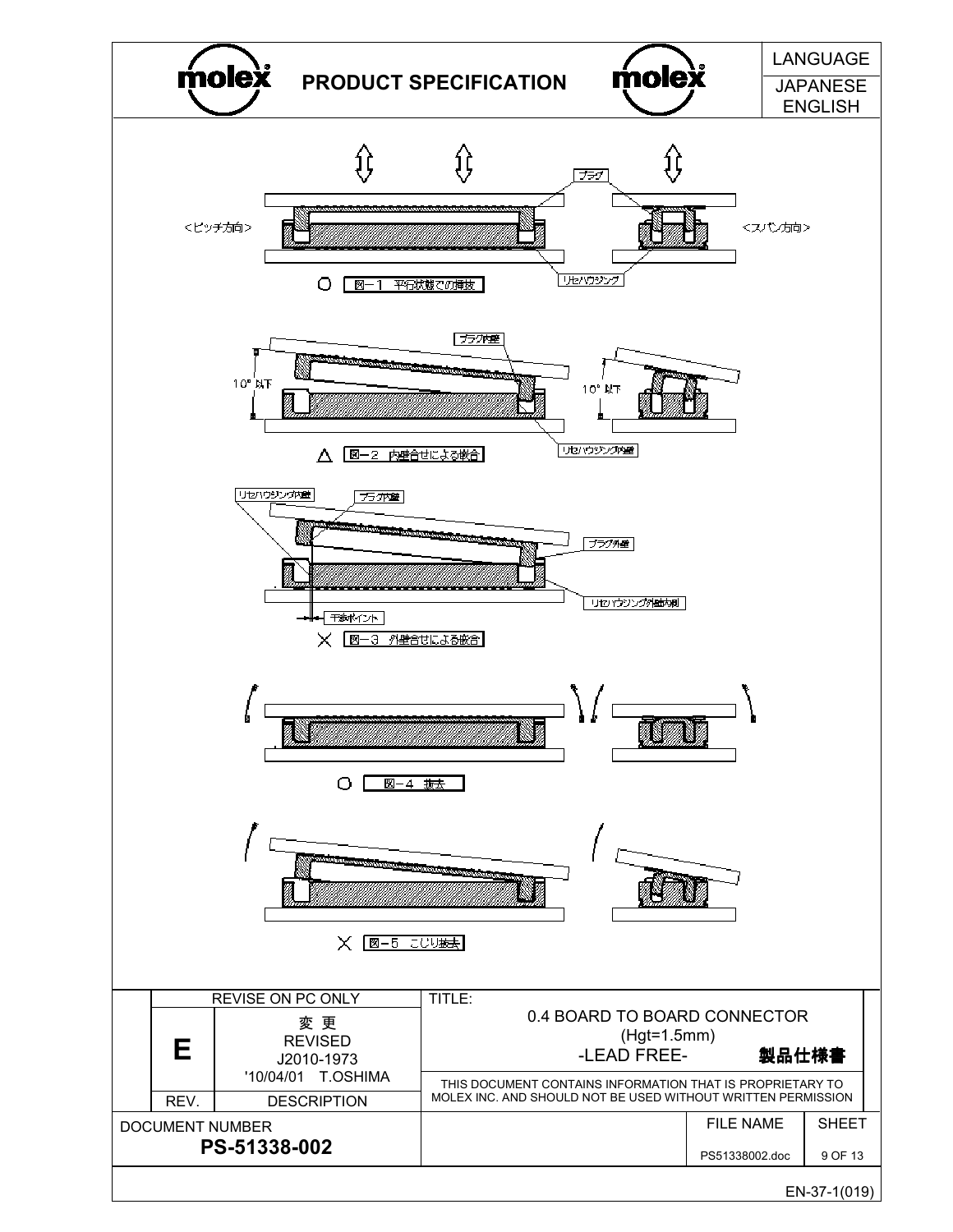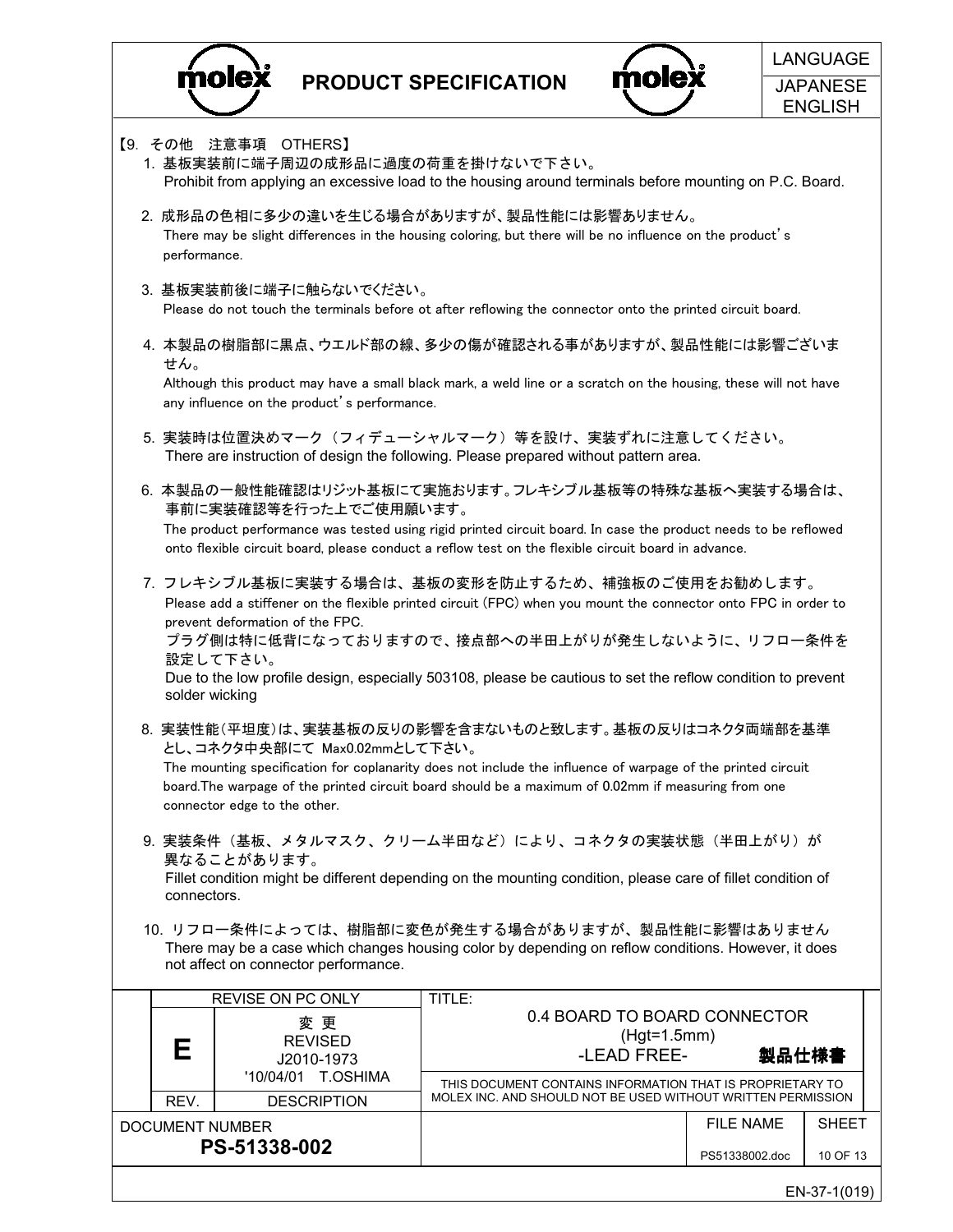

DOCUMENT NUMBER

PS-51338-002

PRODUCT SPECIFICATION



|                                                                                                                                        |                                              |                                                                                                                                                                                                                       | <b>ENGLISH</b> |  |  |  |  |
|----------------------------------------------------------------------------------------------------------------------------------------|----------------------------------------------|-----------------------------------------------------------------------------------------------------------------------------------------------------------------------------------------------------------------------|----------------|--|--|--|--|
| 【9. その他 注意事項                                                                                                                           | OTHERS]<br>1. 基板実装前に端子周辺の成形品に過度の荷重を掛けないで下さい。 | Prohibit from applying an excessive load to the housing around terminals before mounting on P.C. Board.                                                                                                               |                |  |  |  |  |
| performance.                                                                                                                           |                                              | 2. 成形品の色相に多少の違いを生じる場合がありますが、製品性能には影響ありません。<br>There may be slight differences in the housing coloring, but there will be no influence on the product's                                                                |                |  |  |  |  |
|                                                                                                                                        | 3. 基板実装前後に端子に触らないでください。                      | Please do not touch the terminals before ot after reflowing the connector onto the printed circuit board.                                                                                                             |                |  |  |  |  |
| せん。                                                                                                                                    |                                              | 4. 本製品の樹脂部に黒点、ウエルド部の線、多少の傷が確認される事がありますが、製品性能には影響ございま<br>Although this product may have a small black mark, a weld line or a scratch on the housing, these will not have                                               |                |  |  |  |  |
|                                                                                                                                        | any influence on the product's performance.  |                                                                                                                                                                                                                       |                |  |  |  |  |
| 5. 実装時は位置決めマーク(フィデューシャルマーク)等を設け、実装ずれに注意してください。<br>There are instruction of design the following. Please prepared without pattern area. |                                              |                                                                                                                                                                                                                       |                |  |  |  |  |
| 6. 本製品の一般性能確認はリジット基板にて実施おります。フレキシブル基板等の特殊な基板へ実装する場合は、<br>事前に実装確認等を行った上でご使用願います。                                                        |                                              |                                                                                                                                                                                                                       |                |  |  |  |  |
|                                                                                                                                        |                                              | The product performance was tested using rigid printed circuit board. In case the product needs to be reflowed<br>onto flexible circuit board, please conduct a reflow test on the flexible circuit board in advance. |                |  |  |  |  |
|                                                                                                                                        | prevent deformation of the FPC.              | 7. フレキシブル基板に実装する場合は、基板の変形を防止するため、補強板のご使用をお勧めします。<br>Please add a stiffener on the flexible printed circuit (FPC) when you mount the connector onto FPC in order to                                                    |                |  |  |  |  |
| solder wicking                                                                                                                         | 設定して下さい。                                     | プラグ側は特に低背になっておりますので、接点部への半田上がりが発生しないように、リフロー条件を<br>Due to the low profile design, especially 503108, please be cautious to set the reflow condition to prevent                                                        |                |  |  |  |  |
|                                                                                                                                        | とし、コネクタ中央部にて Max0.02mmとして下さい。                | 8. 実装性能(平坦度)は、実装基板の反りの影響を含まないものと致します。基板の反りはコネクタ両端部を基準                                                                                                                                                                 |                |  |  |  |  |
|                                                                                                                                        | connector edge to the other.                 | The mounting specification for coplanarity does not include the influence of warpage of the printed circuit<br>board. The warpage of the printed circuit board should be a maximum of 0.02mm if measuring from one    |                |  |  |  |  |
|                                                                                                                                        | 異なることがあります。                                  | 9. 実装条件(基板、メタルマスク、クリーム半田など)により、コネクタの実装状態(半田上がり)が                                                                                                                                                                      |                |  |  |  |  |
| connectors.                                                                                                                            |                                              | Fillet condition might be different depending on the mounting condition, please care of fillet condition of                                                                                                           |                |  |  |  |  |
|                                                                                                                                        |                                              | 10. リフロー条件によっては、樹脂部に変色が発生する場合がありますが、製品性能に影響はありません<br>There may be a case which changes housing color by depending on reflow conditions. However, it does                                                              |                |  |  |  |  |
|                                                                                                                                        | not affect on connector performance.         |                                                                                                                                                                                                                       |                |  |  |  |  |
|                                                                                                                                        | REVISE ON PC ONLY                            | TITLE:<br>0.4 BOARD TO BOARD CONNECTOR                                                                                                                                                                                |                |  |  |  |  |
|                                                                                                                                        | 変 更<br><b>REVISED</b>                        | $(Hgt=1.5mm)$                                                                                                                                                                                                         |                |  |  |  |  |
| Е                                                                                                                                      | J2010-1973<br>'10/04/01 T.OSHIMA             | -LEAD FREE-                                                                                                                                                                                                           | 製品仕様書          |  |  |  |  |
| REV.                                                                                                                                   | <b>DESCRIPTION</b>                           | THIS DOCUMENT CONTAINS INFORMATION THAT IS PROPRIETARY TO<br>MOLEX INC. AND SHOULD NOT BE USED WITHOUT WRITTEN PERMISSION                                                                                             |                |  |  |  |  |

PS51338002.doc 10 OF 13

FILE NAME

SHEET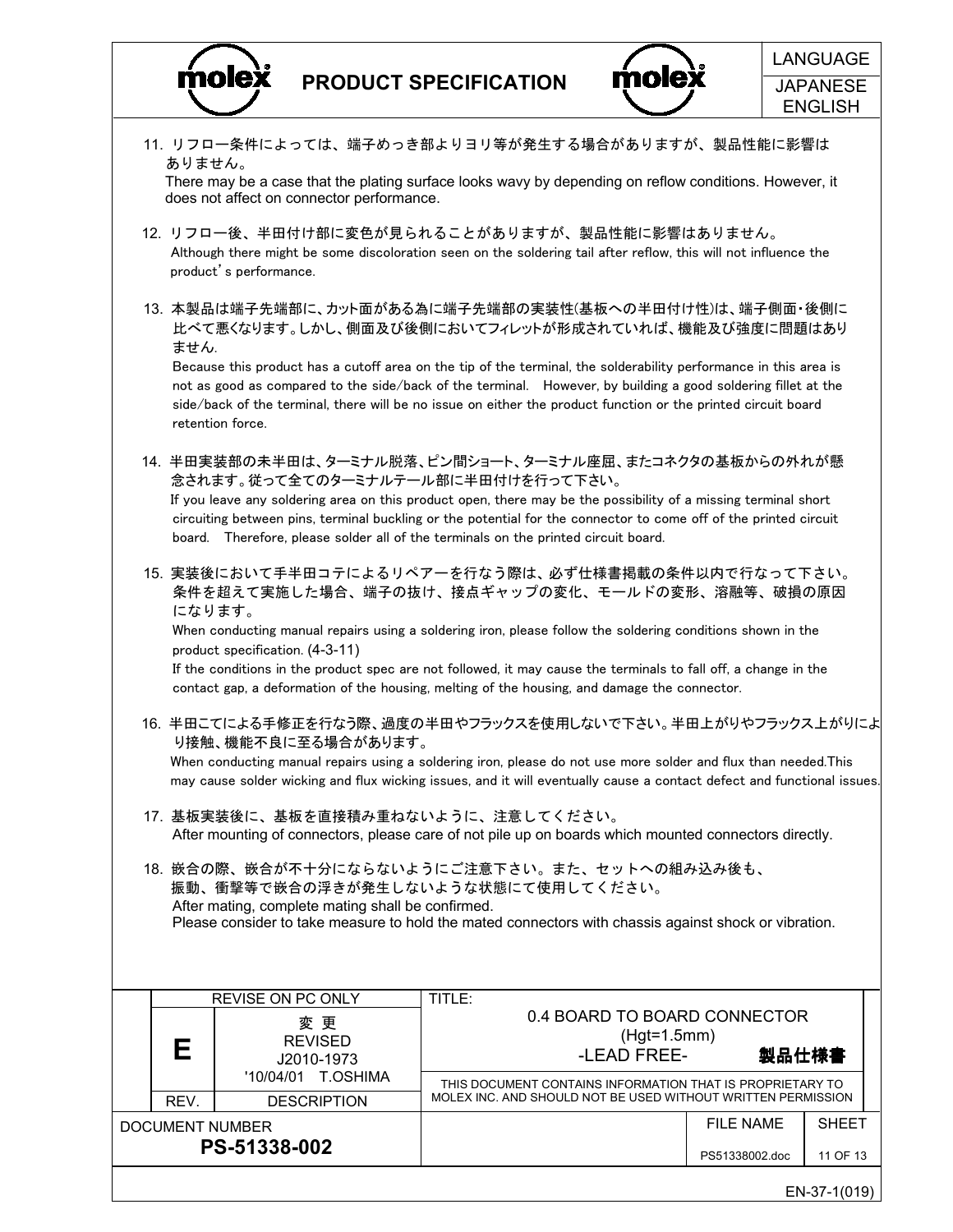



|  | 11. リフロー条件によっては、端子めっき部よりヨリ等が発生する場合がありますが、製品性能に影響は<br>There may be a case that the plating surface looks wavy by depending on reflow conditions. However, it |                                                   |                                                                                                                                                                                                                                                                                                                                                    |                  |              |
|--|-------------------------------------------------------------------------------------------------------------------------------------------------------------|---------------------------------------------------|----------------------------------------------------------------------------------------------------------------------------------------------------------------------------------------------------------------------------------------------------------------------------------------------------------------------------------------------------|------------------|--------------|
|  |                                                                                                                                                             | product's performance.                            | 12. リフロー後、半田付け部に変色が見られることがありますが、製品性能に影響はありません。<br>Although there might be some discoloration seen on the soldering tail after reflow, this will not influence the                                                                                                                                                                                  |                  |              |
|  | ません.                                                                                                                                                        |                                                   | 13. 本製品は端子先端部に、カット面がある為に端子先端部の実装性(基板への半田付け性)は、端子側面・後側に<br>比べて悪くなります。しかし、側面及び後側においてフィレットが形成されていれば、機能及び強度に問題はあり                                                                                                                                                                                                                                      |                  |              |
|  |                                                                                                                                                             | retention force.                                  | Because this product has a cutoff area on the tip of the terminal, the solderability performance in this area is<br>not as good as compared to the side/back of the terminal. However, by building a good soldering fillet at the<br>side/back of the terminal, there will be no issue on either the product function or the printed circuit board |                  |              |
|  |                                                                                                                                                             | 念されます。従って全てのターミナルテール部に半田付けを行って下さい。                | 14. 半田実装部の未半田は、ターミナル脱落、ピン間ショート、ターミナル座屈、またコネクタの基板からの外れが懸                                                                                                                                                                                                                                                                                            |                  |              |
|  |                                                                                                                                                             |                                                   | If you leave any soldering area on this product open, there may be the possibility of a missing terminal short<br>circuiting between pins, terminal buckling or the potential for the connector to come off of the printed circuit<br>board. Therefore, please solder all of the terminals on the printed circuit board.                           |                  |              |
|  |                                                                                                                                                             | になります。                                            | 15. 実装後において手半田コテによるリペアーを行なう際は、必ず仕様書掲載の条件以内で行なって下さい。<br>条件を超えて実施した場合、端子の抜け、接点ギャップの変化、モールドの変形、溶融等、破損の原因                                                                                                                                                                                                                                              |                  |              |
|  |                                                                                                                                                             | product specification. (4-3-11)                   | When conducting manual repairs using a soldering iron, please follow the soldering conditions shown in the                                                                                                                                                                                                                                         |                  |              |
|  |                                                                                                                                                             |                                                   | If the conditions in the product spec are not followed, it may cause the terminals to fall off, a change in the<br>contact gap, a deformation of the housing, melting of the housing, and damage the connector.                                                                                                                                    |                  |              |
|  |                                                                                                                                                             | り接触、機能不良に至る場合があります。                               | 16. 半田こてによる手修正を行なう際、過度の半田やフラックスを使用しないで下さい。半田上がりやフラックス上がりによ                                                                                                                                                                                                                                                                                         |                  |              |
|  |                                                                                                                                                             |                                                   | When conducting manual repairs using a soldering iron, please do not use more solder and flux than needed. This<br>may cause solder wicking and flux wicking issues, and it will eventually cause a contact defect and functional issues.                                                                                                          |                  |              |
|  |                                                                                                                                                             | 17. 基板実装後に、基板を直接積み重ねないように、注意してください。               | After mounting of connectors, please care of not pile up on boards which mounted connectors directly.                                                                                                                                                                                                                                              |                  |              |
|  |                                                                                                                                                             |                                                   | 18. 嵌合の際、嵌合が不十分にならないようにご注意下さい。また、セットへの組み込み後も、<br>振動、衝撃等で嵌合の浮きが発生しないような状態にて使用してください。                                                                                                                                                                                                                                                                |                  |              |
|  |                                                                                                                                                             | After mating, complete mating shall be confirmed. | Please consider to take measure to hold the mated connectors with chassis against shock or vibration.                                                                                                                                                                                                                                              |                  |              |
|  |                                                                                                                                                             |                                                   |                                                                                                                                                                                                                                                                                                                                                    |                  |              |
|  |                                                                                                                                                             | <b>REVISE ON PC ONLY</b>                          | TITLE:                                                                                                                                                                                                                                                                                                                                             |                  |              |
|  |                                                                                                                                                             | 変 更                                               | 0.4 BOARD TO BOARD CONNECTOR                                                                                                                                                                                                                                                                                                                       |                  |              |
|  | Е                                                                                                                                                           | <b>REVISED</b><br>J2010-1973                      | $(Hgt=1.5mm)$<br>-LEAD FREE-                                                                                                                                                                                                                                                                                                                       | 製品仕様書            |              |
|  |                                                                                                                                                             | '10/04/01 T.OSHIMA                                | THIS DOCUMENT CONTAINS INFORMATION THAT IS PROPRIETARY TO<br>MOLEX INC. AND SHOULD NOT BE USED WITHOUT WRITTEN PERMISSION                                                                                                                                                                                                                          |                  |              |
|  | REV.                                                                                                                                                        | <b>DESCRIPTION</b><br><b>DOCUMENT NUMBER</b>      |                                                                                                                                                                                                                                                                                                                                                    | <b>FILE NAME</b> | <b>SHEET</b> |
|  |                                                                                                                                                             | PS-51338-002                                      |                                                                                                                                                                                                                                                                                                                                                    | PS51338002.doc   | 11 OF 13     |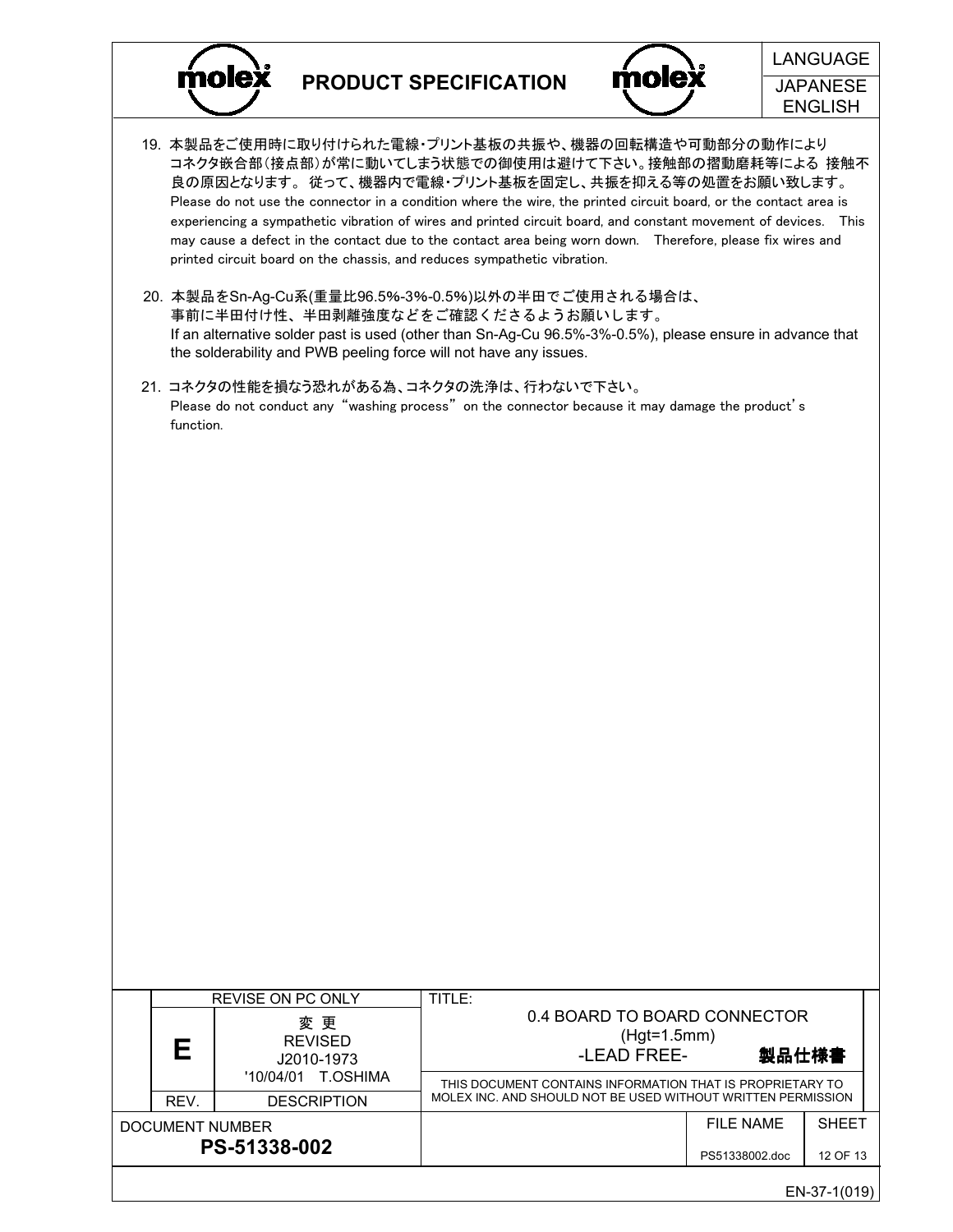



- 19. 本製品をご使用時に取り付けられた電線・プリント基板の共振や、機器の回転構造や可動部分の動作により コネクタ嵌合部(接点部)が常に動いてしまう状態での御使用は避けて下さい。接触部の摺動磨耗等による 接触不 良の原因となります。 従って、機器内で電線・プリント基板を固定し、共振を抑える等の処置をお願い致します。 Please do not use the connector in a condition where the wire, the printed circuit board, or the contact area is experiencing a sympathetic vibration of wires and printed circuit board, and constant movement of devices. This may cause a defect in the contact due to the contact area being worn down. Therefore, please fix wires and printed circuit board on the chassis, and reduces sympathetic vibration.
- 20. 本製品をSn-Ag-Cu系(重量比96.5%-3%-0.5%)以外の半田でご使用される場合は、 事前に半田付け性、半田剥離強度などをご確認くださるようお願いします。 If an alternative solder past is used (other than Sn-Ag-Cu 96.5%-3%-0.5%), please ensure in advance that the solderability and PWB peeling force will not have any issues.
- 21. コネクタの性能を損なう恐れがある為、コネクタの洗浄は、行わないで下さい。 Please do not conduct any "washing process" on the connector because it may damage the product's function.

|  |                                 | <b>REVISE ON PC ONLY</b>           | TITLE:                                                                                                                    |                                                                       |              |  |  |  |
|--|---------------------------------|------------------------------------|---------------------------------------------------------------------------------------------------------------------------|-----------------------------------------------------------------------|--------------|--|--|--|
|  | Е                               | 変更<br><b>REVISED</b><br>J2010-1973 |                                                                                                                           | 0.4 BOARD TO BOARD CONNECTOR<br>$(Hgt=1.5mm)$<br>製品仕様書<br>-LEAD FREE- |              |  |  |  |
|  |                                 | T.OSHIMA<br>'10/04/01              | THIS DOCUMENT CONTAINS INFORMATION THAT IS PROPRIETARY TO<br>MOLEX INC. AND SHOULD NOT BE USED WITHOUT WRITTEN PERMISSION |                                                                       |              |  |  |  |
|  | REV.                            | <b>DESCRIPTION</b>                 |                                                                                                                           |                                                                       |              |  |  |  |
|  | DOCUMENT NUMBER<br>PS-51338-002 |                                    |                                                                                                                           | FII F NAMF                                                            | <b>SHEET</b> |  |  |  |
|  |                                 |                                    |                                                                                                                           | PS51338002.doc                                                        | 12 OF 13     |  |  |  |
|  |                                 |                                    |                                                                                                                           |                                                                       | EN-37-1(019) |  |  |  |